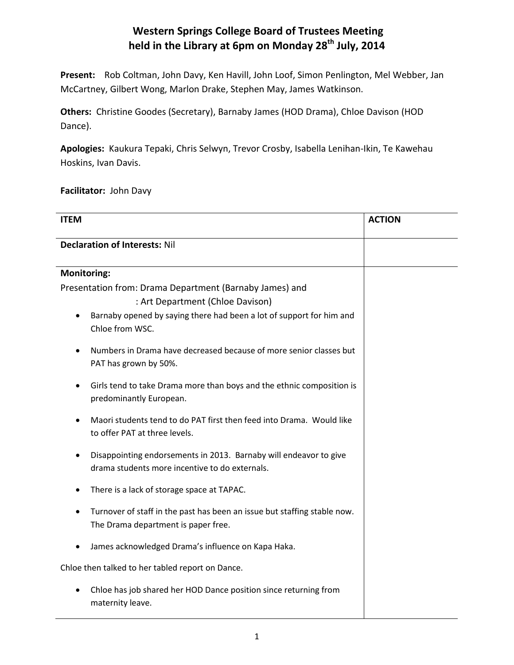## **Western Springs College Board of Trustees Meeting held in the Library at 6pm on Monday 28th July, 2014**

**Present:** Rob Coltman, John Davy, Ken Havill, John Loof, Simon Penlington, Mel Webber, Jan McCartney, Gilbert Wong, Marlon Drake, Stephen May, James Watkinson.

**Others:** Christine Goodes (Secretary), Barnaby James (HOD Drama), Chloe Davison (HOD Dance).

**Apologies:** Kaukura Tepaki, Chris Selwyn, Trevor Crosby, Isabella Lenihan-Ikin, Te Kawehau Hoskins, Ivan Davis.

## **Facilitator:** John Davy

| <b>ITEM</b>                                                                                                         | <b>ACTION</b> |
|---------------------------------------------------------------------------------------------------------------------|---------------|
| <b>Declaration of Interests: Nil</b>                                                                                |               |
| <b>Monitoring:</b>                                                                                                  |               |
| Presentation from: Drama Department (Barnaby James) and                                                             |               |
| : Art Department (Chloe Davison)                                                                                    |               |
| Barnaby opened by saying there had been a lot of support for him and<br>$\bullet$<br>Chloe from WSC.                |               |
| Numbers in Drama have decreased because of more senior classes but<br>PAT has grown by 50%.                         |               |
| Girls tend to take Drama more than boys and the ethnic composition is<br>$\bullet$<br>predominantly European.       |               |
| Maori students tend to do PAT first then feed into Drama. Would like<br>to offer PAT at three levels.               |               |
| Disappointing endorsements in 2013. Barnaby will endeavor to give<br>drama students more incentive to do externals. |               |
| There is a lack of storage space at TAPAC.                                                                          |               |
| Turnover of staff in the past has been an issue but staffing stable now.<br>The Drama department is paper free.     |               |
| James acknowledged Drama's influence on Kapa Haka.                                                                  |               |
| Chloe then talked to her tabled report on Dance.                                                                    |               |
| Chloe has job shared her HOD Dance position since returning from<br>maternity leave.                                |               |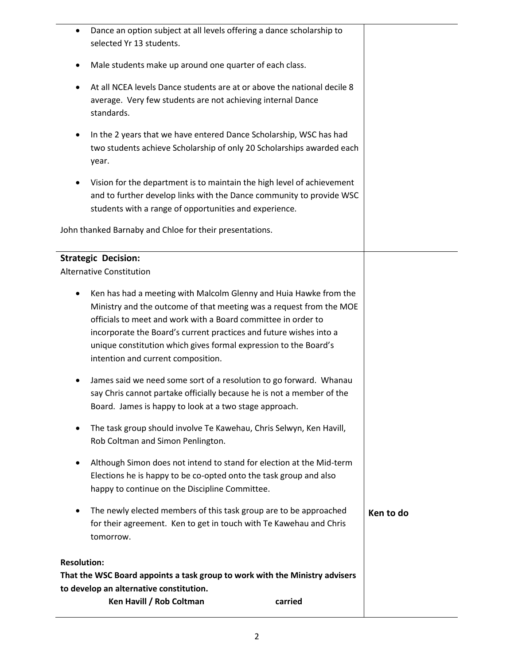| Dance an option subject at all levels offering a dance scholarship to<br>selected Yr 13 students.                                                                                                                                                                                                                                                                                         |           |
|-------------------------------------------------------------------------------------------------------------------------------------------------------------------------------------------------------------------------------------------------------------------------------------------------------------------------------------------------------------------------------------------|-----------|
| Male students make up around one quarter of each class.                                                                                                                                                                                                                                                                                                                                   |           |
| At all NCEA levels Dance students are at or above the national decile 8<br>average. Very few students are not achieving internal Dance<br>standards.                                                                                                                                                                                                                                      |           |
| In the 2 years that we have entered Dance Scholarship, WSC has had<br>٠<br>two students achieve Scholarship of only 20 Scholarships awarded each<br>year.                                                                                                                                                                                                                                 |           |
| Vision for the department is to maintain the high level of achievement<br>and to further develop links with the Dance community to provide WSC<br>students with a range of opportunities and experience.                                                                                                                                                                                  |           |
| John thanked Barnaby and Chloe for their presentations.                                                                                                                                                                                                                                                                                                                                   |           |
| <b>Strategic Decision:</b><br><b>Alternative Constitution</b>                                                                                                                                                                                                                                                                                                                             |           |
| Ken has had a meeting with Malcolm Glenny and Huia Hawke from the<br>Ministry and the outcome of that meeting was a request from the MOE<br>officials to meet and work with a Board committee in order to<br>incorporate the Board's current practices and future wishes into a<br>unique constitution which gives formal expression to the Board's<br>intention and current composition. |           |
| James said we need some sort of a resolution to go forward. Whanau<br>say Chris cannot partake officially because he is not a member of the<br>Board. James is happy to look at a two stage approach.                                                                                                                                                                                     |           |
| The task group should involve Te Kawehau, Chris Selwyn, Ken Havill,<br>٠<br>Rob Coltman and Simon Penlington.                                                                                                                                                                                                                                                                             |           |
| Although Simon does not intend to stand for election at the Mid-term<br>Elections he is happy to be co-opted onto the task group and also<br>happy to continue on the Discipline Committee.                                                                                                                                                                                               |           |
| The newly elected members of this task group are to be approached<br>for their agreement. Ken to get in touch with Te Kawehau and Chris<br>tomorrow.                                                                                                                                                                                                                                      | Ken to do |
| <b>Resolution:</b><br>That the WSC Board appoints a task group to work with the Ministry advisers<br>to develop an alternative constitution.                                                                                                                                                                                                                                              |           |
| Ken Havill / Rob Coltman<br>carried                                                                                                                                                                                                                                                                                                                                                       |           |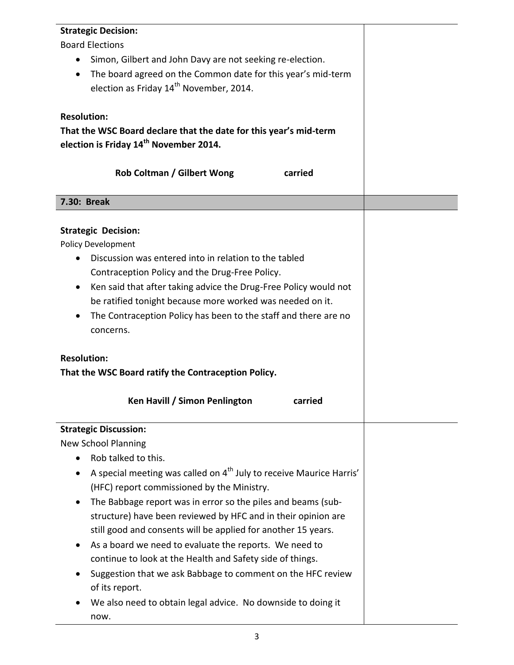| <b>Strategic Decision:</b>                                                      |  |
|---------------------------------------------------------------------------------|--|
| <b>Board Elections</b>                                                          |  |
| Simon, Gilbert and John Davy are not seeking re-election.<br>$\bullet$          |  |
| The board agreed on the Common date for this year's mid-term<br>$\bullet$       |  |
| election as Friday 14 <sup>th</sup> November, 2014.                             |  |
|                                                                                 |  |
| <b>Resolution:</b>                                                              |  |
| That the WSC Board declare that the date for this year's mid-term               |  |
| election is Friday 14 <sup>th</sup> November 2014.                              |  |
|                                                                                 |  |
| <b>Rob Coltman / Gilbert Wong</b><br>carried                                    |  |
|                                                                                 |  |
| 7.30: Break                                                                     |  |
|                                                                                 |  |
| <b>Strategic Decision:</b>                                                      |  |
| Policy Development                                                              |  |
| Discussion was entered into in relation to the tabled                           |  |
| Contraception Policy and the Drug-Free Policy.                                  |  |
| Ken said that after taking advice the Drug-Free Policy would not<br>$\bullet$   |  |
| be ratified tonight because more worked was needed on it.                       |  |
| The Contraception Policy has been to the staff and there are no<br>$\bullet$    |  |
| concerns.                                                                       |  |
|                                                                                 |  |
| <b>Resolution:</b>                                                              |  |
| That the WSC Board ratify the Contraception Policy.                             |  |
| Ken Havill / Simon Penlington<br>carried                                        |  |
|                                                                                 |  |
| <b>Strategic Discussion:</b>                                                    |  |
| <b>New School Planning</b>                                                      |  |
| Rob talked to this.                                                             |  |
| A special meeting was called on 4 <sup>th</sup> July to receive Maurice Harris' |  |
| (HFC) report commissioned by the Ministry.                                      |  |
| The Babbage report was in error so the piles and beams (sub-                    |  |
| structure) have been reviewed by HFC and in their opinion are                   |  |
| still good and consents will be applied for another 15 years.                   |  |
| As a board we need to evaluate the reports. We need to                          |  |
| continue to look at the Health and Safety side of things.                       |  |
| Suggestion that we ask Babbage to comment on the HFC review                     |  |
| of its report.                                                                  |  |
| We also need to obtain legal advice. No downside to doing it                    |  |
| now.                                                                            |  |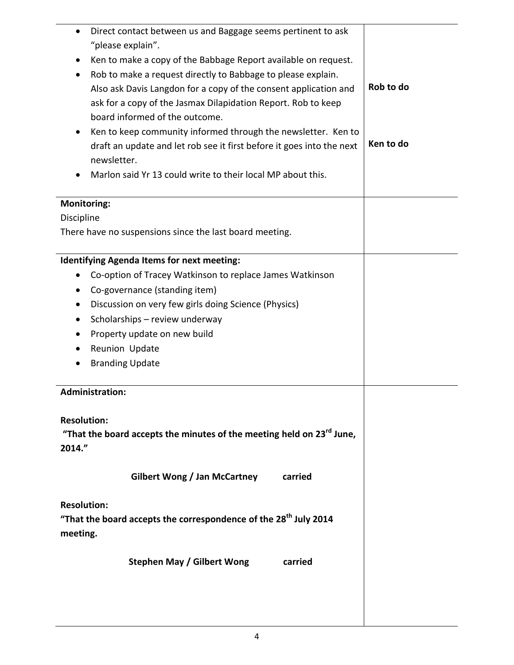|                    | Direct contact between us and Baggage seems pertinent to ask<br>"please explain".<br>Ken to make a copy of the Babbage Report available on request.<br>Rob to make a request directly to Babbage to please explain.<br>Also ask Davis Langdon for a copy of the consent application and<br>ask for a copy of the Jasmax Dilapidation Report. Rob to keep<br>board informed of the outcome.<br>Ken to keep community informed through the newsletter. Ken to<br>draft an update and let rob see it first before it goes into the next<br>newsletter.<br>Marlon said Yr 13 could write to their local MP about this. | Rob to do<br>Ken to do |
|--------------------|--------------------------------------------------------------------------------------------------------------------------------------------------------------------------------------------------------------------------------------------------------------------------------------------------------------------------------------------------------------------------------------------------------------------------------------------------------------------------------------------------------------------------------------------------------------------------------------------------------------------|------------------------|
| <b>Monitoring:</b> |                                                                                                                                                                                                                                                                                                                                                                                                                                                                                                                                                                                                                    |                        |
| Discipline         |                                                                                                                                                                                                                                                                                                                                                                                                                                                                                                                                                                                                                    |                        |
|                    | There have no suspensions since the last board meeting.                                                                                                                                                                                                                                                                                                                                                                                                                                                                                                                                                            |                        |
|                    | <b>Identifying Agenda Items for next meeting:</b>                                                                                                                                                                                                                                                                                                                                                                                                                                                                                                                                                                  |                        |
|                    | Co-option of Tracey Watkinson to replace James Watkinson                                                                                                                                                                                                                                                                                                                                                                                                                                                                                                                                                           |                        |
|                    | Co-governance (standing item)                                                                                                                                                                                                                                                                                                                                                                                                                                                                                                                                                                                      |                        |
|                    | Discussion on very few girls doing Science (Physics)                                                                                                                                                                                                                                                                                                                                                                                                                                                                                                                                                               |                        |
| $\bullet$          | Scholarships - review underway                                                                                                                                                                                                                                                                                                                                                                                                                                                                                                                                                                                     |                        |
|                    | Property update on new build                                                                                                                                                                                                                                                                                                                                                                                                                                                                                                                                                                                       |                        |
|                    | Reunion Update                                                                                                                                                                                                                                                                                                                                                                                                                                                                                                                                                                                                     |                        |
|                    | <b>Branding Update</b>                                                                                                                                                                                                                                                                                                                                                                                                                                                                                                                                                                                             |                        |
|                    |                                                                                                                                                                                                                                                                                                                                                                                                                                                                                                                                                                                                                    |                        |
|                    | <b>Administration:</b>                                                                                                                                                                                                                                                                                                                                                                                                                                                                                                                                                                                             |                        |
|                    |                                                                                                                                                                                                                                                                                                                                                                                                                                                                                                                                                                                                                    |                        |
| <b>Resolution:</b> |                                                                                                                                                                                                                                                                                                                                                                                                                                                                                                                                                                                                                    |                        |
|                    | "That the board accepts the minutes of the meeting held on $23^{rd}$ June,                                                                                                                                                                                                                                                                                                                                                                                                                                                                                                                                         |                        |
| 2014."             |                                                                                                                                                                                                                                                                                                                                                                                                                                                                                                                                                                                                                    |                        |
|                    | <b>Gilbert Wong / Jan McCartney</b><br>carried                                                                                                                                                                                                                                                                                                                                                                                                                                                                                                                                                                     |                        |
| <b>Resolution:</b> |                                                                                                                                                                                                                                                                                                                                                                                                                                                                                                                                                                                                                    |                        |
|                    | "That the board accepts the correspondence of the 28 <sup>th</sup> July 2014                                                                                                                                                                                                                                                                                                                                                                                                                                                                                                                                       |                        |
| meeting.           |                                                                                                                                                                                                                                                                                                                                                                                                                                                                                                                                                                                                                    |                        |
|                    | <b>Stephen May / Gilbert Wong</b><br>carried                                                                                                                                                                                                                                                                                                                                                                                                                                                                                                                                                                       |                        |
|                    |                                                                                                                                                                                                                                                                                                                                                                                                                                                                                                                                                                                                                    |                        |
|                    |                                                                                                                                                                                                                                                                                                                                                                                                                                                                                                                                                                                                                    |                        |